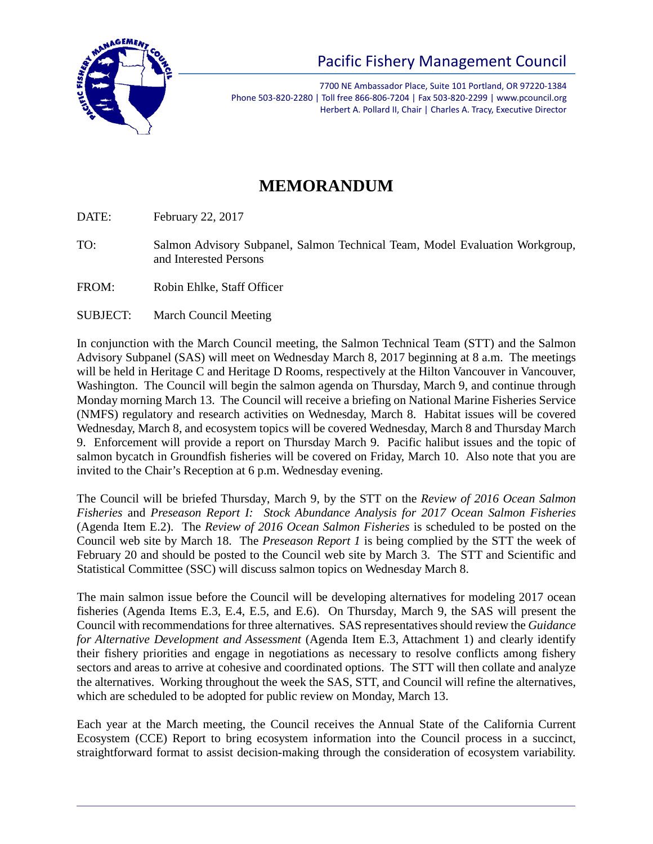

7700 NE Ambassador Place, Suite 101 Portland, OR 97220-1384 Phone 503-820-2280 | Toll free 866-806-7204 | Fax 503-820-2299 | www.pcouncil.org Herbert A. Pollard II, Chair | Charles A. Tracy, Executive Director

## **MEMORANDUM**

DATE: February 22, 2017

- TO: Salmon Advisory Subpanel, Salmon Technical Team, Model Evaluation Workgroup, and Interested Persons
- FROM: Robin Ehlke, Staff Officer
- SUBJECT: March Council Meeting

In conjunction with the March Council meeting, the Salmon Technical Team (STT) and the Salmon Advisory Subpanel (SAS) will meet on Wednesday March 8, 2017 beginning at 8 a.m. The meetings will be held in Heritage C and Heritage D Rooms, respectively at the Hilton Vancouver in Vancouver, Washington. The Council will begin the salmon agenda on Thursday, March 9, and continue through Monday morning March 13. The Council will receive a briefing on National Marine Fisheries Service (NMFS) regulatory and research activities on Wednesday, March 8. Habitat issues will be covered Wednesday, March 8, and ecosystem topics will be covered Wednesday, March 8 and Thursday March 9. Enforcement will provide a report on Thursday March 9. Pacific halibut issues and the topic of salmon bycatch in Groundfish fisheries will be covered on Friday, March 10. Also note that you are invited to the Chair's Reception at 6 p.m. Wednesday evening.

The Council will be briefed Thursday, March 9, by the STT on the *Review of 2016 Ocean Salmon Fisheries* and *Preseason Report I: Stock Abundance Analysis for 2017 Ocean Salmon Fisheries* (Agenda Item E.2). The *Review of 2016 Ocean Salmon Fisheries* is scheduled to be posted on the Council web site by March 18. The *Preseason Report 1* is being complied by the STT the week of February 20 and should be posted to the Council web site by March 3. The STT and Scientific and Statistical Committee (SSC) will discuss salmon topics on Wednesday March 8.

The main salmon issue before the Council will be developing alternatives for modeling 2017 ocean fisheries (Agenda Items E.3, E.4, E.5, and E.6). On Thursday, March 9, the SAS will present the Council with recommendations for three alternatives. SAS representatives should review the *Guidance for Alternative Development and Assessment* (Agenda Item E.3, Attachment 1) and clearly identify their fishery priorities and engage in negotiations as necessary to resolve conflicts among fishery sectors and areas to arrive at cohesive and coordinated options. The STT will then collate and analyze the alternatives. Working throughout the week the SAS, STT, and Council will refine the alternatives, which are scheduled to be adopted for public review on Monday, March 13.

Each year at the March meeting, the Council receives the Annual State of the California Current Ecosystem (CCE) Report to bring ecosystem information into the Council process in a succinct, straightforward format to assist decision-making through the consideration of ecosystem variability.